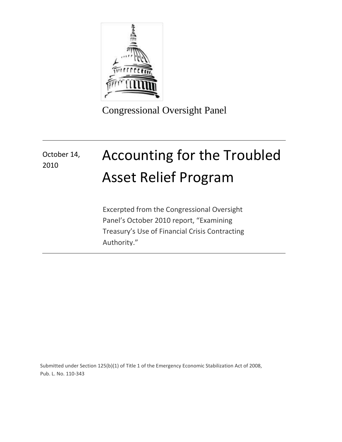

Congressional Oversight Panel

# Accounting for the Troubled Asset Relief Program October 14, 2010

Excerpted from the Congressional Oversight Panel's October 2010 report, "Examining Treasury's Use of Financial Crisis Contracting Authority."

Submitted under Section 125(b)(1) of Title 1 of the Emergency Economic Stabilization Act of 2008, Pub. L. No. 110-343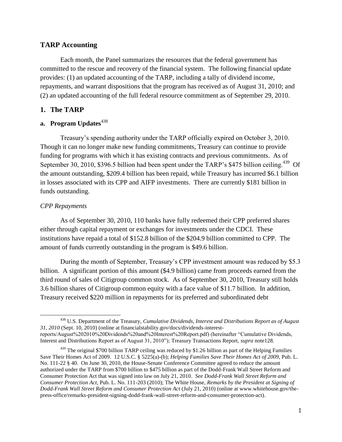#### **TARP Accounting**

Each month, the Panel summarizes the resources that the federal government has committed to the rescue and recovery of the financial system. The following financial update provides: (1) an updated accounting of the TARP, including a tally of dividend income, repayments, and warrant dispositions that the program has received as of August 31, 2010; and (2) an updated accounting of the full federal resource commitment as of September 29, 2010.

#### **1. The TARP**

#### **a.** Program Updates<sup>438</sup>

Treasury's spending authority under the TARP officially expired on October 3, 2010. Though it can no longer make new funding commitments, Treasury can continue to provide funding for programs with which it has existing contracts and previous commitments. As of September 30, 2010, \$396.5 billion had been spent under the TARP's \$475 billion ceiling.<sup>439</sup> Of the amount outstanding, \$209.4 billion has been repaid, while Treasury has incurred \$6.1 billion in losses associated with its CPP and AIFP investments. There are currently \$181 billion in funds outstanding.

#### *CPP Repayments*

As of September 30, 2010, 110 banks have fully redeemed their CPP preferred shares either through capital repayment or exchanges for investments under the CDCI. These institutions have repaid a total of \$152.8 billion of the \$204.9 billion committed to CPP. The amount of funds currently outstanding in the program is \$49.6 billion.

During the month of September, Treasury's CPP investment amount was reduced by \$5.3 billion. A significant portion of this amount (\$4.9 billion) came from proceeds earned from the third round of sales of Citigroup common stock. As of September 30, 2010, Treasury still holds 3.6 billion shares of Citigroup common equity with a face value of \$11.7 billion. In addition, Treasury received \$220 million in repayments for its preferred and subordinated debt

 $\overline{a}$ <sup>438</sup> U.S. Department of the Treasury, *Cumulative Dividends, Interest and Distributions Report as of August 31, 2010* (Sept. 10, 2010) (online at financialstability.gov/docs/dividends-interestreports/August%202010%20Dividends%20and%20Interest%20Report.pdf) (hereinafter "Cumulative Dividends, Interest and Distributions Report as of August 31, 2010"); Treasury Transactions Report, *supra* note128.

<sup>&</sup>lt;sup>439</sup> The original \$700 billion TARP ceiling was reduced by \$1.26 billion as part of the Helping Families Save Their Homes Act of 2009. 12 U.S.C. § 5225(a)-(b); *Helping Families Save Their Homes Act of 2009,* Pub. L. No. 111-22 § 40. On June 30, 2010, the House-Senate Conference Committee agreed to reduce the amount authorized under the TARP from \$700 billion to \$475 billion as part of the Dodd-Frank Wall Street Reform and Consumer Protection Act that was signed into law on July 21, 2010. *See Dodd-Frank Wall Street Reform and Consumer Protection Act*, Pub. L. No. 111-203 (2010); The White House, *Remarks by the President at Signing of Dodd-Frank Wall Street Reform and Consumer Protection Act* (July 21, 2010) (online at www.whitehouse.gov/thepress-office/remarks-president-signing-dodd-frank-wall-street-reform-and-consumer-protection-act).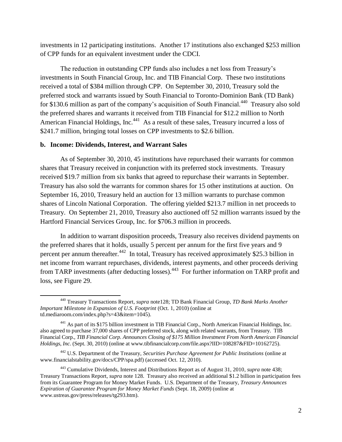investments in 12 participating institutions. Another 17 institutions also exchanged \$253 million of CPP funds for an equivalent investment under the CDCI.

The reduction in outstanding CPP funds also includes a net loss from Treasury's investments in South Financial Group, Inc. and TIB Financial Corp. These two institutions received a total of \$384 million through CPP. On September 30, 2010, Treasury sold the preferred stock and warrants issued by South Financial to Toronto-Dominion Bank (TD Bank) for \$130.6 million as part of the company's acquisition of South Financial.<sup>440</sup> Treasury also sold the preferred shares and warrants it received from TIB Financial for \$12.2 million to North American Financial Holdings, Inc.<sup>441</sup> As a result of these sales, Treasury incurred a loss of \$241.7 million, bringing total losses on CPP investments to \$2.6 billion.

#### **b. Income: Dividends, Interest, and Warrant Sales**

 $\overline{a}$ 

As of September 30, 2010, 45 institutions have repurchased their warrants for common shares that Treasury received in conjunction with its preferred stock investments. Treasury received \$19.7 million from six banks that agreed to repurchase their warrants in September. Treasury has also sold the warrants for common shares for 15 other institutions at auction. On September 16, 2010, Treasury held an auction for 13 million warrants to purchase common shares of Lincoln National Corporation. The offering yielded \$213.7 million in net proceeds to Treasury. On September 21, 2010, Treasury also auctioned off 52 million warrants issued by the Hartford Financial Services Group, Inc. for \$706.3 million in proceeds.

In addition to warrant disposition proceeds, Treasury also receives dividend payments on the preferred shares that it holds, usually 5 percent per annum for the first five years and 9 percent per annum thereafter.<sup>442</sup> In total, Treasury has received approximately \$25.3 billion in net income from warrant repurchases, dividends, interest payments, and other proceeds deriving from TARP investments (after deducting losses).<sup>443</sup> For further information on TARP profit and loss, see Figure 29.

<sup>440</sup> Treasury Transactions Report, *supra* note128; TD Bank Financial Group, *TD Bank Marks Another Important Milestone in Expansion of U.S. Footprint* (Oct. 1, 2010) (online at td.mediaroom.com/index.php?s=43&item=1045).

<sup>441</sup> As part of its \$175 billion investment in TIB Financial Corp., North American Financial Holdings, Inc. also agreed to purchase 37,000 shares of CPP preferred stock, along with related warrants, from Treasury. TIB Financial Corp., *TIB Financial Corp. Announces Closing of \$175 Million Investment From North American Financial Holdings, Inc.* (Sept. 30, 2010) (online at www.tibfinancialcorp.com/file.aspx?IID=108287&FID=10162725).

<sup>442</sup> U.S. Department of the Treasury, *Securities Purchase Agreement for Public Institutions* (online at www.financialstability.gov/docs/CPP/spa.pdf) (accessed Oct. 12, 2010).

<sup>443</sup> Cumulative Dividends, Interest and Distributions Report as of August 31, 2010, *supra* note 438; Treasury Transactions Report, *supra* note 128. Treasury also received an additional \$1.2 billion in participation fees from its Guarantee Program for Money Market Funds. U.S. Department of the Treasury, *Treasury Announces Expiration of Guarantee Program for Money Market Funds* (Sept. 18, 2009) (online at www.ustreas.gov/press/releases/tg293.htm).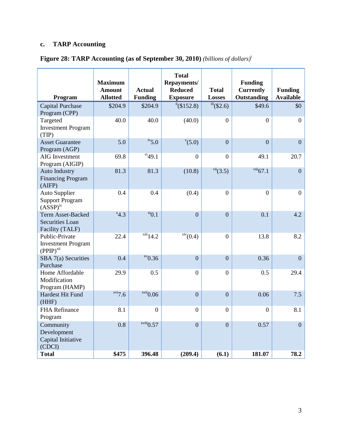# **c. TARP Accounting**

| Figure 28: TARP Accounting (as of September 30, 2010) (billions of dollars) <sup>i</sup> |  |  |  |  |  |  |  |
|------------------------------------------------------------------------------------------|--|--|--|--|--|--|--|
|                                                                                          |  |  |  |  |  |  |  |

<span id="page-3-1"></span><span id="page-3-0"></span>

| Program                                                         | <b>Maximum</b><br>Amount<br><b>Allotted</b> | <b>Actual</b><br><b>Funding</b> | <b>Total</b><br>Repayments/<br><b>Reduced</b><br><b>Exposure</b> | <b>Total</b><br><b>Losses</b>  | <b>Funding</b><br><b>Currently</b><br>Outstanding | <b>Funding</b><br><b>Available</b> |
|-----------------------------------------------------------------|---------------------------------------------|---------------------------------|------------------------------------------------------------------|--------------------------------|---------------------------------------------------|------------------------------------|
| <b>Capital Purchase</b><br>Program (CPP)                        | \$204.9                                     | \$204.9                         | $^{ii}$ (\$152.8)                                                | $\overline{\text{iii}}(\$2.6)$ | \$49.6                                            | \$0                                |
| Targeted<br><b>Investment Program</b><br>(TIP)                  | 40.0                                        | 40.0                            | (40.0)                                                           | $\overline{0}$                 | $\overline{0}$                                    | $\boldsymbol{0}$                   |
| <b>Asset Guarantee</b><br>Program (AGP)                         | 5.0                                         | $\frac{iv}{5.0}$                | $^{v}(5.0)$                                                      | $\overline{0}$                 | $\Omega$                                          | $\overline{0}$                     |
| <b>AIG</b> Investment<br>Program (AIGIP)                        | 69.8                                        | $\frac{vi}{49.1}$               | $\boldsymbol{0}$                                                 | $\overline{0}$                 | 49.1                                              | 20.7                               |
| <b>Auto Industry</b><br><b>Financing Program</b><br>(AIFP)      | 81.3                                        | 81.3                            | (10.8)                                                           | vii(3.5)                       | $viii$ 67.1                                       | $\overline{0}$                     |
| <b>Auto Supplier</b><br><b>Support Program</b><br>$(ASSP)^{ix}$ | 0.4                                         | 0.4                             | (0.4)                                                            | $\boldsymbol{0}$               | $\boldsymbol{0}$                                  | $\boldsymbol{0}$                   |
| Term Asset-Backed<br><b>Securities Loan</b><br>Facility (TALF)  | $^{x}4.3$                                   | $x_i$ <sup>xi</sup> $0.1$       | $\overline{0}$                                                   | $\overline{0}$                 | 0.1                                               | 4.2                                |
| Public-Private<br><b>Investment Program</b><br>$(PPIP)^{xii}$   | 22.4                                        | $xiii$ 14.2                     | $\frac{\text{xiv}}{100}(0.4)$                                    | $\overline{0}$                 | 13.8                                              | 8.2                                |
| SBA 7(a) Securities<br>Purchase                                 | 0.4                                         | $xv$ <sub>0.36</sub>            | $\overline{0}$                                                   | $\overline{0}$                 | 0.36                                              | $\overline{0}$                     |
| Home Affordable<br>Modification<br>Program (HAMP)               | 29.9                                        | 0.5                             | $\boldsymbol{0}$                                                 | $\overline{0}$                 | 0.5                                               | 29.4                               |
| Hardest Hit Fund<br>(HHF)                                       | xvi7.6                                      | xvii0.06                        | $\overline{0}$                                                   | $\mathbf{0}$                   | 0.06                                              | 7.5                                |
| <b>FHA Refinance</b><br>Program                                 | 8.1                                         | $\overline{0}$                  | $\boldsymbol{0}$                                                 | $\overline{0}$                 | $\boldsymbol{0}$                                  | 8.1                                |
| Community<br>Development<br>Capital Initiative<br>(CDCI)        | 0.8                                         | $\frac{x}{y}$ xviii $0.57$      | $\overline{0}$                                                   | $\overline{0}$                 | 0.57                                              | $\overline{0}$                     |
| <b>Total</b>                                                    | \$475                                       | 396.48                          | (209.4)                                                          | (6.1)                          | 181.07                                            | 78.2                               |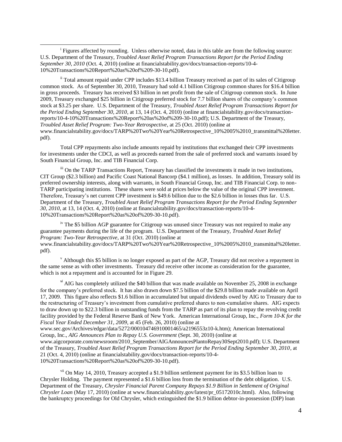<sup>i</sup> Figures affected by rounding. Unless otherwise noted, data in this table are from the following source: U.S. Department of the Treasury, *Troubled Asset Relief Program Transactions Report for the Period Ending September 30, 2010* (Oct. 4, 2010) (online at financialstability.gov/docs/transaction-reports/10-4- 10%20Transactions%20Report%20as%20of%209-30-10.pdf).

 $\overline{\phantom{a}}$ 

ii Total amount repaid under CPP includes \$13.4 billion Treasury received as part of its sales of Citigroup common stock. As of September 30, 2010, Treasury had sold 4.1 billion Citigroup common shares for \$16.4 billion in gross proceeds. Treasury has received \$3 billion in net profit from the sale of Citigroup common stock. In June 2009, Treasury exchanged \$25 billion in Citigroup preferred stock for 7.7 billion shares of the company's common stock at \$3.25 per share. U.S. Department of the Treasury, *Troubled Asset Relief Program Transactions Report for the Period Ending September 30, 2010*, at 13, 14 (Oct. 4, 2010) (online at financialstability.gov/docs/transactionreports/10-4-10%20Transactions%20Report%20as%20of%209-30-10.pdf); U.S. Department of the Treasury, *Troubled Asset Relief Program: Two-Year Retrospective*, at 25 (Oct. 2010) (online at www.financialstability.gov/docs/TARP%20Two%20Year%20Retrospective\_10%2005%2010\_transmittal%20letter. pdf).

Total CPP repayments also include amounts repaid by institutions that exchanged their CPP investments for investments under the CDCI, as well as proceeds earned from the sale of preferred stock and warrants issued by South Financial Group, Inc. and TIB Financial Corp.

iii On the TARP Transactions Report, Treasury has classified the investments it made in two institutions, CIT Group (\$2.3 billion) and Pacific Coast National Bancorp (\$4.1 million), as losses. In addition, Treasury sold its preferred ownership interests, along with warrants, in South Financial Group, Inc. and TIB Financial Corp. to non-TARP participating institutions. These shares were sold at prices below the value of the original CPP investment. Therefore, Treasury's net current CPP investment is \$49.6 billion due to the \$2.6 billion in losses thus far. U.S. Department of the Treasury, *Troubled Asset Relief Program Transactions Report for the Period Ending September 30, 2010*, at 13, 14 (Oct. 4, 2010) (online at financialstability.gov/docs/transaction-reports/10-4- 10%20Transactions%20Report%20as%20of%209-30-10.pdf).

 $\frac{1}{10}$  The \$5 billion AGP guarantee for Citigroup was unused since Treasury was not required to make any guarantee payments during the life of the program. U.S. Department of the Treasury, *Troubled Asset Relief Program: Two-Year Retrospective*, at 31 (Oct. 2010) (online at www.financialstability.gov/docs/TARP%20Two%20Year%20Retrospective\_10%2005%2010\_transmittal%20letter. pdf).

 $v$  Although this \$5 billion is no longer exposed as part of the AGP, Treasury did not receive a repayment in the same sense as with other investments. Treasury did receive other income as consideration for the guarantee, which is not a repayment and is accounted for in Figure 29.

 $v<sup>i</sup>$  AIG has completely utilized the \$40 billion that was made available on November 25, 2008 in exchange for the company's preferred stock. It has also drawn down \$7.5 billion of the \$29.8 billion made available on April 17, 2009. This figure also reflects \$1.6 billion in accumulated but unpaid dividends owed by AIG to Treasury due to the restructuring of Treasury's investment from cumulative preferred shares to non-cumulative shares. AIG expects to draw down up to \$22.3 billion in outstanding funds from the TARP as part of its plan to repay the revolving credit facility provided by the Federal Reserve Bank of New York. American International Group, Inc., *Form 10-K for the Fiscal Year Ended December 31, 2009*, at 45 (Feb. 26, 2010) (online at

www.sec.gov/Archives/edgar/data/5272/000104746910001465/a2196553z10-k.htm); American International Group, Inc., *AIG Announces Plan to Repay U.S. Government* (Sept. 30, 2010) (online at

www.aigcorporate.com/newsroom/2010\_September/AIGAnnouncesPlantoRepay30Sept2010.pdf); U.S. Department of the Treasury, *Troubled Asset Relief Program Transactions Report for the Period Ending September 30, 2010*, at 21 (Oct. 4, 2010) (online at financialstability.gov/docs/transaction-reports/10-4- 10%20Transactions%20Report%20as%20of%209-30-10.pdf).

v<sup>ii</sup> On May 14, 2010, Treasury accepted a \$1.9 billion settlement payment for its \$3.5 billion loan to Chrysler Holding. The payment represented a \$1.6 billion loss from the termination of the debt obligation. U.S. Department of the Treasury, *Chrysler Financial Parent Company Repays \$1.9 Billion in Settlement of Original Chrysler Loan* (May 17, 2010) (online at www.financialstability.gov/latest/pr\_05172010c.html). Also, following the bankruptcy proceedings for Old Chrysler, which extinguished the \$1.9 billion debtor-in-possession (DIP) loan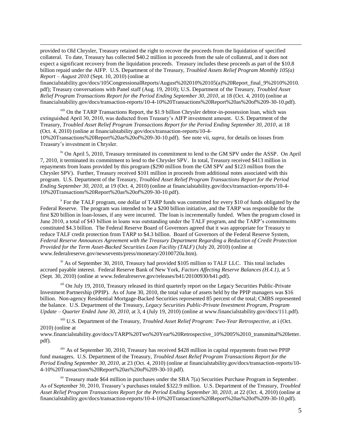provided to Old Chrysler, Treasury retained the right to recover the proceeds from the liquidation of specified collateral. To date, Treasury has collected \$40.2 million in proceeds from the sale of collateral, and it does not expect a significant recovery from the liquidation proceeds. Treasury includes these proceeds as part of the \$10.8 billion repaid under the AIFP. U.S. Department of the Treasury, *Troubled Assets Relief Program Monthly 105(a) Report – August 2010* (Sept. 10, 2010) (online at

 $\overline{\phantom{a}}$ 

financialstability.gov/docs/105CongressionalReports/August%202010%20105(a)%20Report\_final\_9%2010%2010. pdf); Treasury conversations with Panel staff (Aug. 19, 2010); U.S. Department of the Treasury, *Troubled Asset Relief Program Transactions Report for the Period Ending September 30, 2010*, at 18 (Oct. 4, 2010) (online at financialstability.gov/docs/transaction-reports/10-4-10%20Transactions%20Report%20as%20of%209-30-10.pdf).

viii On the TARP Transactions Report, the \$1.9 billion Chrysler debtor-in-possession loan, which was extinguished April 30, 2010, was deducted from Treasury's AIFP investment amount. U.S. Department of the Treasury, *Troubled Asset Relief Program Transactions Report for the Period Ending September 30, 2010*, at 18 (Oct. 4, 2010) (online at financialstability.gov/docs/transaction-reports/10-4-

10%20Transactions%20Report%20as%20of%209-30-10.pdf). See note vii, *supra*, for details on losses from Treasury's investment in Chrysler.

<sup>ix</sup> On April 5, 2010, Treasury terminated its commitment to lend to the GM SPV under the ASSP. On April 7, 2010, it terminated its commitment to lend to the Chrysler SPV. In total, Treasury received \$413 million in repayments from loans provided by this program (\$290 million from the GM SPV and \$123 million from the Chrysler SPV). Further, Treasury received \$101 million in proceeds from additional notes associated with this program. U.S. Department of the Treasury, *Troubled Asset Relief Program Transactions Report for the Period Ending September 30, 2010*, at 19 (Oct. 4, 2010) (online at financialstability.gov/docs/transaction-reports/10-4- 10%20Transactions%20Report%20as%20of%209-30-10.pdf).

 $X^*$  For the TALF program, one dollar of TARP funds was committed for every \$10 of funds obligated by the Federal Reserve. The program was intended to be a \$200 billion initiative, and the TARP was responsible for the first \$20 billion in loan-losses, if any were incurred. The loan is incrementally funded. When the program closed in June 2010, a total of \$43 billion in loans was outstanding under the TALF program, and the TARP's commitments constituted \$4.3 billion. The Federal Reserve Board of Governors agreed that it was appropriate for Treasury to reduce TALF credit protection from TARP to \$4.3 billion. Board of Governors of the Federal Reserve System, *Federal Reserve Announces Agreement with the Treasury Department Regarding a Reduction of Credit Protection Provided for the Term Asset-Backed Securities Loan Facility (TALF)* (July 20, 2010) (online at www.federalreserve.gov/newsevents/press/monetary/20100720a.htm).

xi As of September 30, 2010, Treasury had provided \$105 million to TALF LLC. This total includes accrued payable interest. Federal Reserve Bank of New York, *Factors Affecting Reserve Balances (H.4.1)*, at 5 (Sept. 30, 2010) (online at www.federalreserve.gov/releases/h41/20100930/h41.pdf).

<sup>xii</sup> On July 19, 2010, Treasury released its third quarterly report on the Legacy Securities Public-Private Investment Partnership (PPIP). As of June 30, 2010, the total value of assets held by the PPIP managers was \$16 billion. Non-agency Residential Mortgage-Backed Securities represented 85 percent of the total; CMBS represented the balance. U.S. Department of the Treasury, *Legacy Securities Public-Private Investment Program, Program Update – Quarter Ended June 30, 2010*, at 3, 4 (July 19, 2010) (online at www.financialstability.gov/docs/111.pdf).

xiii U.S. Department of the Treasury, *Troubled Asset Relief Program: Two-Year Retrospective*, at i (Oct. 2010) (online at

www.financialstability.gov/docs/TARP%20Two%20Year%20Retrospective\_10%2005%2010\_transmittal%20letter. pdf).

<sup>xiv</sup> As of September 30, 2010, Treasury has received \$428 million in capital repayments from two PPIP fund managers. U.S. Department of the Treasury, *Troubled Asset Relief Program Transactions Report for the Period Ending September 30, 2010*, at 23 (Oct. 4, 2010) (online at financialstability.gov/docs/transaction-reports/10- 4-10%20Transactions%20Report%20as%20of%209-30-10.pdf).

 $x<sup>x</sup>$  Treasury made \$64 million in purchases under the SBA 7(a) Securities Purchase Program in September. As of September 30, 2010, Treasury's purchases totaled \$322.9 million. U.S. Department of the Treasury, *Troubled Asset Relief Program Transactions Report for the Period Ending September 30, 2010*, at 22 (Oct. 4, 2010) (online at financialstability.gov/docs/transaction-reports/10-4-10%20Transactions%20Report%20as%20of%209-30-10.pdf).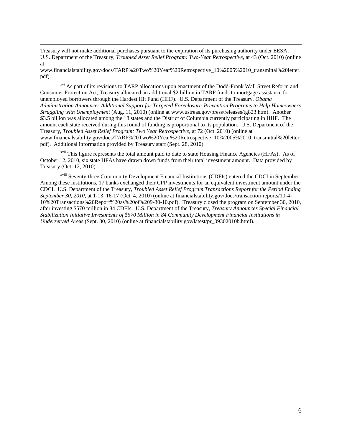Treasury will not make additional purchases pursuant to the expiration of its purchasing authority under EESA. U.S. Department of the Treasury, *Troubled Asset Relief Program: Two-Year Retrospective*, at 43 (Oct. 2010) (online at

 $\overline{\phantom{a}}$ 

www.financialstability.gov/docs/TARP%20Two%20Year%20Retrospective\_10%2005%2010\_transmittal%20letter. pdf).

<sup>xvi</sup> As part of its revisions to TARP allocations upon enactment of the Dodd-Frank Wall Street Reform and Consumer Protection Act, Treasury allocated an additional \$2 billion in TARP funds to mortgage assistance for unemployed borrowers through the Hardest Hit Fund (HHF)*.* U.S. Department of the Treasury, *Obama Administration Announces Additional Support for Targeted Foreclosure-Prevention Programs to Help Homeowners Struggling with Unemployment* (Aug. 11, 2010) (online at www.ustreas.gov/press/releases/tg823.htm). Another \$3.5 billion was allocated among the 18 states and the District of Columbia currently participating in HHF. The amount each state received during this round of funding is proportional to its population. U.S. Department of the Treasury, *Troubled Asset Relief Program: Two Year Retrospective*, at 72 (Oct. 2010) (online at www.financialstability.gov/docs/TARP%20Two%20Year%20Retrospective\_10%2005%2010\_transmittal%20letter. pdf). Additional information provided by Treasury staff (Sept. 28, 2010).

<sup>xvii</sup> This figure represents the total amount paid to date to state Housing Finance Agencies (HFAs). As of October 12, 2010, six state HFAs have drawn down funds from their total investment amount. Data provided by Treasury (Oct. 12, 2010).

xviii Seventy-three Community Development Financial Institutions (CDFIs) entered the CDCI in September. Among these institutions, 17 banks exchanged their CPP investments for an equivalent investment amount under the CDCI. U.S. Department of the Treasury, *Troubled Asset Relief Program Transactions Report for the Period Ending September 30, 2010*, at 1-13, 16-17 (Oct. 4, 2010) (online at financialstability.gov/docs/transaction-reports/10-4- 10%20Transactions%20Report%20as%20of%209-30-10.pdf). Treasury closed the program on September 30, 2010, after investing \$570 million in 84 CDFIs. U.S. Department of the Treasury, *Treasury Announces Special Financial Stabilization Initiative Investments of \$570 Million in 84 Community Development Financial Institutions in Underserved* Areas (Sept. 30, 2010) (online at financialstability.gov/latest/pr\_09302010b.html).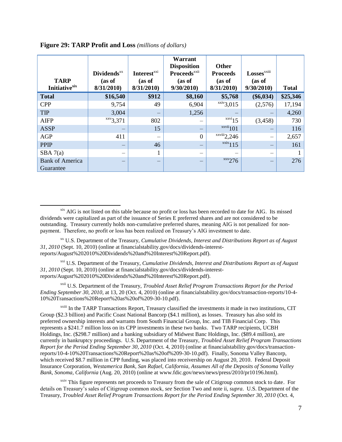| <b>TARP</b><br><b>Initiative</b> xix | <b>Dividends</b> <sup>xx</sup><br>(as of<br>8/31/2010 | <b>Interest</b> <sup>xxi</sup><br>(as of<br>8/31/2010 | Warrant<br><b>Disposition</b><br><b>Proceeds</b> <sup>xxii</sup><br>(as of<br>9/30/2010 | <b>Other</b><br><b>Proceeds</b><br>(as of<br>8/31/2010 | Losses <sup>xxiii</sup><br>(as of<br>9/30/2010 | <b>Total</b> |
|--------------------------------------|-------------------------------------------------------|-------------------------------------------------------|-----------------------------------------------------------------------------------------|--------------------------------------------------------|------------------------------------------------|--------------|
| <b>Total</b>                         | \$16,540                                              | \$912                                                 | \$8,160                                                                                 | \$5,768                                                | $(\$6,034)$                                    | \$25,346     |
| <b>CPP</b>                           | 9,754                                                 | 49                                                    | 6,904                                                                                   | $\overline{\ }$ <sup>xxiv</sup> 3,015                  | (2,576)                                        | 17,194       |
| <b>TIP</b>                           | 3,004                                                 | -                                                     | 1,256                                                                                   |                                                        |                                                | 4,260        |
| <b>AIFP</b>                          | xxy3,371                                              | 802                                                   |                                                                                         | $\overline{\text{xxvi}}$ 15                            | (3, 458)                                       | 730          |
| <b>ASSP</b>                          |                                                       | 15                                                    |                                                                                         | $\frac{xxvii}{101}$                                    |                                                | 116          |
| AGP                                  | 411                                                   | -                                                     | $\overline{0}$                                                                          | $\overline{\ }$ xxviii <sub>2</sub> ,246               | —                                              | 2,657        |
| <b>PPIP</b>                          | —                                                     | 46                                                    |                                                                                         | $\frac{xxix}{115}$                                     |                                                | 161          |
| SBA 7(a)                             |                                                       | 1                                                     |                                                                                         |                                                        |                                                |              |
| <b>Bank of America</b><br>Guarantee  |                                                       |                                                       |                                                                                         | $\frac{XXX}{276}$                                      |                                                | 276          |

| Figure 29: TARP Profit and Loss (millions of dollars) |  |  |  |  |  |
|-------------------------------------------------------|--|--|--|--|--|
|-------------------------------------------------------|--|--|--|--|--|

 $\overline{a}$ 

<sup>xix</sup> AIG is not listed on this table because no profit or loss has been recorded to date for AIG. Its missed dividends were capitalized as part of the issuance of Series E preferred shares and are not considered to be outstanding. Treasury currently holds non-cumulative preferred shares, meaning AIG is not penalized for nonpayment. Therefore, no profit or loss has been realized on Treasury's AIG investment to date.

xx U.S. Department of the Treasury, *Cumulative Dividends, Interest and Distributions Report as of August 31, 2010* (Sept. 10, 2010) (online at financialstability.gov/docs/dividends-interestreports/August%202010%20Dividends%20and%20Interest%20Report.pdf).

xxi U.S. Department of the Treasury, *Cumulative Dividends, Interest and Distributions Report as of August 31, 2010* (Sept. 10, 2010) (online at financialstability.gov/docs/dividends-interestreports/August%202010%20Dividends%20and%20Interest%20Report.pdf).

xxii U.S. Department of the Treasury, *Troubled Asset Relief Program Transactions Report for the Period Ending September 30, 2010*, at 13, 20 (Oct. 4, 2010) (online at financialstability.gov/docs/transaction-reports/10-4- 10%20Transactions%20Report%20as%20of%209-30-10.pdf).

<sup>xxiii</sup> In the TARP Transactions Report, Treasury classified the investments it made in two institutions, CIT Group (\$2.3 billion) and Pacific Coast National Bancorp (\$4.1 million), as losses. Treasury has also sold its preferred ownership interests and warrants from South Financial Group, Inc. and TIB Financial Corp. This represents a \$241.7 million loss on its CPP investments in these two banks. Two TARP recipients, UCBH Holdings, Inc. (\$298.7 million) and a banking subsidiary of Midwest Banc Holdings, Inc. (\$89.4 million), are currently in bankruptcy proceedings. U.S. Department of the Treasury, *Troubled Asset Relief Program Transactions Report for the Period Ending September 30, 2010* (Oct. 4, 2010) (online at financialstability.gov/docs/transactionreports/10-4-10%20Transactions%20Report%20as%20of%209-30-10.pdf). Finally, Sonoma Valley Bancorp, which received \$8.7 million in CPP funding, was placed into receivership on August 20, 2010. Federal Deposit Insurance Corporation, *Westamerica Bank, San Rafael, California, Assumes All of the Deposits of Sonoma Valley Bank, Sonoma, California* (Aug. 20, 2010) (online at www.fdic.gov/news/news/press/2010/pr10196.html).

<sup>xxiv</sup> This figure represents net proceeds to Treasury from the sale of Citigroup common stock to date. For details on Treasury's sales of Citigroup common stock, *see* Section Two and note ii, *supra*. U.S. Department of the Treasury, *Troubled Asset Relief Program Transactions Report for the Period Ending September 30, 2010* (Oct. 4,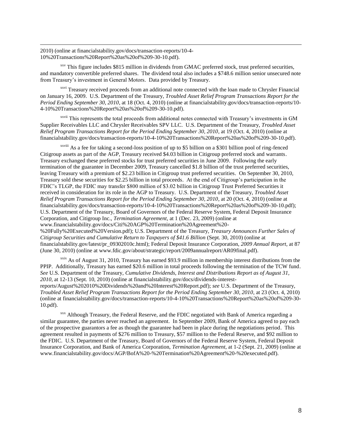2010) (online at financialstability.gov/docs/transaction-reports/10-4- 10%20Transactions%20Report%20as%20of%209-30-10.pdf).

 $\overline{\phantom{a}}$ 

 $xxy$  This figure includes \$815 million in dividends from GMAC preferred stock, trust preferred securities, and mandatory convertible preferred shares. The dividend total also includes a \$748.6 million senior unsecured note from Treasury's investment in General Motors. Data provided by Treasury.

<sup>xxvi</sup> Treasury received proceeds from an additional note connected with the loan made to Chrysler Financial on January 16, 2009. U.S. Department of the Treasury, *Troubled Asset Relief Program Transactions Report for the Period Ending September 30, 2010*, at 18 (Oct. 4, 2010) (online at financialstability.gov/docs/transaction-reports/10- 4-10%20Transactions%20Report%20as%20of%209-30-10.pdf).

xxvii This represents the total proceeds from additional notes connected with Treasury's investments in GM Supplier Receivables LLC and Chrysler Receivables SPV LLC. U.S. Department of the Treasury, *Troubled Asset Relief Program Transactions Report for the Period Ending September 30, 2010*, at 19 (Oct. 4, 2010) (online at financialstability.gov/docs/transaction-reports/10-4-10%20Transactions%20Report%20as%20of%209-30-10.pdf).

xxviii As a fee for taking a second-loss position of up to \$5 billion on a \$301 billion pool of ring-fenced Citigroup assets as part of the AGP, Treasury received \$4.03 billion in Citigroup preferred stock and warrants. Treasury exchanged these preferred stocks for trust preferred securities in June 2009. Following the early termination of the guarantee in December 2009, Treasury cancelled \$1.8 billion of the trust preferred securities, leaving Treasury with a premium of \$2.23 billion in Citigroup trust preferred securities. On September 30, 2010, Treasury sold these securities for \$2.25 billion in total proceeds. At the end of Citigroup's participation in the FDIC's TLGP, the FDIC may transfer \$800 million of \$3.02 billion in Citigroup Trust Preferred Securities it received in consideration for its role in the AGP to Treasury. U.S. Department of the Treasury, *Troubled Asset Relief Program Transactions Report for the Period Ending September 30, 2010*, at 20 (Oct. 4, 2010) (online at financialstability.gov/docs/transaction-reports/10-4-10%20Transactions%20Report%20as%20of%209-30-10.pdf); U.S. Department of the Treasury, Board of Governors of the Federal Reserve System, Federal Deposit Insurance Corporation, and Citigroup Inc., *Termination Agreement*, at 1 (Dec. 23, 2009) (online at www.financialstability.gov/docs/Citi%20AGP%20Termination%20Agreement%20- %20Fully%20Executed%20Version.pdf); U.S. Department of the Treasury, *Treasury Announces Further Sales of Citigroup Securities and Cumulative Return to Taxpayers of \$41.6 Billion* (Sept. 30, 2010) (online at financialstability.gov/latest/pr\_09302010c.html); Federal Deposit Insurance Corporation, *2009 Annual Report*, at 87 (June 30, 2010) (online at www.fdic.gov/about/strategic/report/2009annualreport/AR09final.pdf).

 $x$ <sup>xxix</sup> As of August 31, 2010, Treasury has earned \$93.9 million in membership interest distributions from the PPIP. Additionally, Treasury has earned \$20.6 million in total proceeds following the termination of the TCW fund. *See* U.S. Department of the Treasury, *Cumulative Dividends, Interest and Distributions Report as of August 31, 2010*, at 12-13 (Sept. 10, 2010) (online at financialstability.gov/docs/dividends-interestreports/August%202010%20Dividends%20and%20Interest%20Report.pdf); *see* U.S. Department of the Treasury, *Troubled Asset Relief Program Transactions Report for the Period Ending September 30, 2010*, at 23 (Oct. 4, 2010) (online at financialstability.gov/docs/transaction-reports/10-4-10%20Transactions%20Report%20as%20of%209-30- 10.pdf).

xxx Although Treasury, the Federal Reserve, and the FDIC negotiated with Bank of America regarding a similar guarantee, the parties never reached an agreement. In September 2009, Bank of America agreed to pay each of the prospective guarantors a fee as though the guarantee had been in place during the negotiations period. This agreement resulted in payments of \$276 million to Treasury, \$57 million to the Federal Reserve, and \$92 million to the FDIC. U.S. Department of the Treasury, Board of Governors of the Federal Reserve System, Federal Deposit Insurance Corporation, and Bank of America Corporation, *Termination Agreement*, at 1-2 (Sept. 21, 2009) (online at www.financialstability.gov/docs/AGP/BofA%20-%20Termination%20Agreement%20-%20executed.pdf).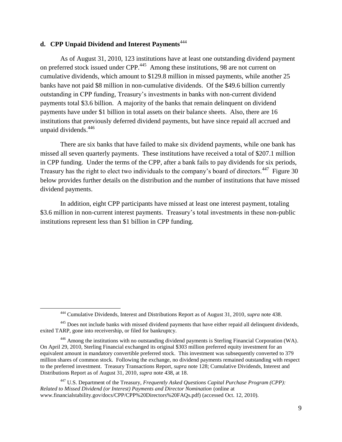#### **d. CPP Unpaid Dividend and Interest Payments**<sup>444</sup>

 $\overline{a}$ 

As of August 31, 2010, 123 institutions have at least one outstanding dividend payment on preferred stock issued under CPP.<sup>445</sup> Among these institutions, 98 are not current on cumulative dividends, which amount to \$129.8 million in missed payments, while another 25 banks have not paid \$8 million in non-cumulative dividends. Of the \$49.6 billion currently outstanding in CPP funding, Treasury's investments in banks with non-current dividend payments total \$3.6 billion. A majority of the banks that remain delinquent on dividend payments have under \$1 billion in total assets on their balance sheets. Also, there are 16 institutions that previously deferred dividend payments, but have since repaid all accrued and unpaid dividends.<sup>446</sup>

There are six banks that have failed to make six dividend payments, while one bank has missed all seven quarterly payments. These institutions have received a total of \$207.1 million in CPP funding. Under the terms of the CPP, after a bank fails to pay dividends for six periods, Treasury has the right to elect two individuals to the company's board of directors.<sup>447</sup> Figure 30 below provides further details on the distribution and the number of institutions that have missed dividend payments.

In addition, eight CPP participants have missed at least one interest payment, totaling \$3.6 million in non-current interest payments. Treasury's total investments in these non-public institutions represent less than \$1 billion in CPP funding.

<sup>447</sup> U.S. Department of the Treasury, *Frequently Asked Questions Capital Purchase Program (CPP): Related to Missed Dividend (or Interest) Payments and Director Nomination* (online at www.financialstability.gov/docs/CPP/CPP%20Directors%20FAQs.pdf) (accessed Oct. 12, 2010).

<sup>444</sup> Cumulative Dividends, Interest and Distributions Report as of August 31, 2010, *supra* note 438.

<sup>&</sup>lt;sup>445</sup> Does not include banks with missed dividend payments that have either repaid all delinquent dividends, exited TARP, gone into receivership, or filed for bankruptcy.

<sup>446</sup> Among the institutions with no outstanding dividend payments is Sterling Financial Corporation (WA). On April 29, 2010, Sterling Financial exchanged its original \$303 million preferred equity investment for an equivalent amount in mandatory convertible preferred stock. This investment was subsequently converted to 379 million shares of common stock. Following the exchange, no dividend payments remained outstanding with respect to the preferred investment. Treasury Transactions Report, *supra* note 128; Cumulative Dividends, Interest and Distributions Report as of August 31, 2010, *supra* note 438, at 18.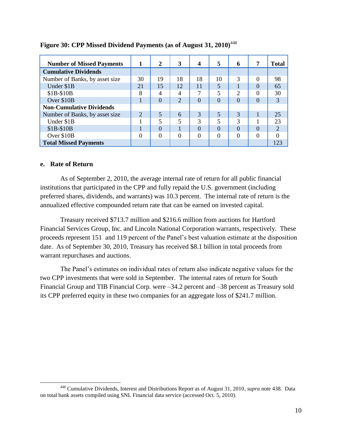| <b>Number of Missed Payments</b> | 1                           | 2        | 3              | 4        | 5        | 6             | 7        | Total          |
|----------------------------------|-----------------------------|----------|----------------|----------|----------|---------------|----------|----------------|
| <b>Cumulative Dividends</b>      |                             |          |                |          |          |               |          |                |
| Number of Banks, by asset size   | 30                          | 19       | 18             | 18       | 10       | 3             | $\Omega$ | 98             |
| Under \$1B                       | 21                          | 15       | 12             | 11       | 5        |               | $\Omega$ | 65             |
| \$1B-\$10B                       | 8                           | 4        | 4              |          | 5        | $\mathcal{D}$ | $\Omega$ | 30             |
| Over \$10B                       |                             | $\Omega$ | $\overline{2}$ | 0        | $\Omega$ | $\Omega$      | $\Omega$ | 3              |
| <b>Non-Cumulative Dividends</b>  |                             |          |                |          |          |               |          |                |
| Number of Banks, by asset size   | $\mathcal{D}_{\mathcal{L}}$ | 5        | 6              | 3        | 5        | 3             |          | 25             |
| Under \$1B                       |                             | 5        | 5              | 3        | 5        | 3             |          | 23             |
| $$1B-$10B$                       |                             | $\Omega$ |                | 0        | $\Omega$ | $\Omega$      | $\Omega$ | $\overline{2}$ |
| Over \$10B                       | $\Omega$                    | $\Omega$ | $\Omega$       | $\Omega$ | $\Omega$ | $\Omega$      | $\Omega$ |                |
| <b>Total Missed Payments</b>     |                             |          |                |          |          |               |          | 123            |

### **Figure 30: CPP Missed Dividend Payments (as of August 31, 2010)**<sup>448</sup>

#### **e. Rate of Return**

 $\overline{\phantom{a}}$ 

As of September 2, 2010, the average internal rate of return for all public financial institutions that participated in the CPP and fully repaid the U.S. government (including preferred shares, dividends, and warrants) was 10.3 percent. The internal rate of return is the annualized effective compounded return rate that can be earned on invested capital.

Treasury received \$713.7 million and \$216.6 million from auctions for Hartford Financial Services Group, Inc. and Lincoln National Corporation warrants, respectively. These proceeds represent 151 and 119 percent of the Panel's best valuation estimate at the disposition date. As of September 30, 2010, Treasury has received \$8.1 billion in total proceeds from warrant repurchases and auctions.

The Panel's estimates on individual rates of return also indicate negative values for the two CPP investments that were sold in September. The internal rates of return for South Financial Group and TIB Financial Corp. were –34.2 percent and –38 percent as Treasury sold its CPP preferred equity in these two companies for an aggregate loss of \$241.7 million.

<sup>448</sup> Cumulative Dividends, Interest and Distributions Report as of August 31, 2010, *supra* note 438. Data on total bank assets compiled using SNL Financial data service (accessed Oct. 5, 2010).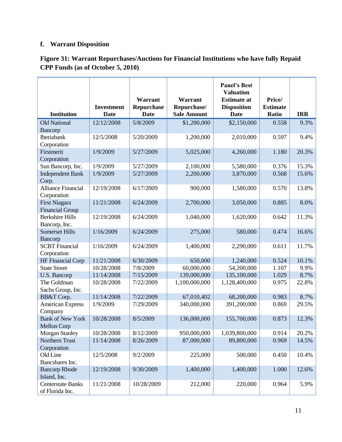# **f. Warrant Disposition**

|                                  | <b>Investment</b> | Warrant<br>Repurchase | Warrant<br>Repurchase/ | <b>Panel's Best</b><br><b>Valuation</b><br><b>Estimate at</b><br><b>Disposition</b> | Price/<br><b>Estimate</b> |            |
|----------------------------------|-------------------|-----------------------|------------------------|-------------------------------------------------------------------------------------|---------------------------|------------|
| <b>Institution</b>               | <b>Date</b>       | <b>Date</b>           | <b>Sale Amount</b>     | <b>Date</b>                                                                         | Ratio                     | <b>IRR</b> |
| <b>Old National</b>              | 12/12/2008        | 5/8/2009              | \$1,200,000            | \$2,150,000                                                                         | 0.558                     | 9.3%       |
| Bancorp                          |                   |                       |                        |                                                                                     |                           |            |
| Iberiabank                       | 12/5/2008         | 5/20/2009             | 1,200,000              | 2,010,000                                                                           | 0.597                     | 9.4%       |
| Corporation                      |                   |                       |                        |                                                                                     |                           |            |
| Firstmerit                       | 1/9/2009          | 5/27/2009             | 5,025,000              | 4,260,000                                                                           | 1.180                     | 20.3%      |
| Corporation                      |                   |                       |                        |                                                                                     |                           |            |
| Sun Bancorp, Inc.                | 1/9/2009          | 5/27/2009             | 2,100,000              | 5,580,000                                                                           | 0.376                     | 15.3%      |
| <b>Independent Bank</b>          | 1/9/2009          | 5/27/2009             | 2,200,000              | 3,870,000                                                                           | 0.568                     | 15.6%      |
| Corp.                            |                   |                       |                        |                                                                                     |                           |            |
| <b>Alliance Financial</b>        | 12/19/2008        | 6/17/2009             | 900,000                | 1,580,000                                                                           | 0.570                     | 13.8%      |
| Corporation                      |                   |                       |                        |                                                                                     |                           |            |
| <b>First Niagara</b>             | 11/21/2008        | 6/24/2009             | 2,700,000              | 3,050,000                                                                           | 0.885                     | 8.0%       |
| <b>Financial Group</b>           |                   |                       |                        |                                                                                     |                           |            |
| <b>Berkshire Hills</b>           | 12/19/2008        | 6/24/2009             | 1,040,000              | 1,620,000                                                                           | 0.642                     | 11.3%      |
| Bancorp, Inc.                    |                   |                       |                        |                                                                                     |                           |            |
| <b>Somerset Hills</b><br>Bancorp | 1/16/2009         | 6/24/2009             | 275,000                | 580,000                                                                             | 0.474                     | 16.6%      |
| <b>SCBT</b> Financial            | 1/16/2009         | 6/24/2009             | 1,400,000              | 2,290,000                                                                           | 0.611                     | 11.7%      |
| Corporation                      |                   |                       |                        |                                                                                     |                           |            |
| HF Financial Corp                | 11/21/2008        | 6/30/2009             | 650,000                | 1,240,000                                                                           | 0.524                     | 10.1%      |
| <b>State Street</b>              | 10/28/2008        | 7/8/2009              | 60,000,000             | 54,200,000                                                                          | 1.107                     | 9.9%       |
| U.S. Bancorp                     | 11/14/2008        | 7/15/2009             | 139,000,000            | 135,100,000                                                                         | 1.029                     | 8.7%       |
| The Goldman                      | 10/28/2008        | 7/22/2009             | 1,100,000,000          | 1,128,400,000                                                                       | 0.975                     | 22.8%      |
| Sachs Group, Inc.                |                   |                       |                        |                                                                                     |                           |            |
| BB&T Corp.                       | 11/14/2008        | 7/22/2009             | 67,010,402             | 68,200,000                                                                          | 0.983                     | 8.7%       |
| <b>American Express</b>          | 1/9/2009          | 7/29/2009             | 340,000,000            | 391,200,000                                                                         | 0.869                     | 29.5%      |
| Company                          |                   |                       |                        |                                                                                     |                           |            |
| <b>Bank of New York</b>          | 10/28/2008        | 8/5/2009              | 136,000,000            | 155,700,000                                                                         | 0.873                     | 12.3%      |
| <b>Mellon Corp</b>               |                   |                       |                        |                                                                                     |                           |            |
| <b>Morgan Stanley</b>            | 10/28/2008        | 8/12/2009             | 950,000,000            | 1,039,800,000                                                                       | 0.914                     | 20.2%      |
| Northern Trust                   | 11/14/2008        | 8/26/2009             | 87,000,000             | 89,800,000                                                                          | 0.969                     | 14.5%      |
| Corporation                      |                   |                       |                        |                                                                                     |                           |            |
| Old Line                         | 12/5/2008         | 9/2/2009              | 225,000                | 500,000                                                                             | 0.450                     | 10.4%      |
| Bancshares Inc.                  |                   |                       |                        |                                                                                     |                           |            |
| <b>Bancorp Rhode</b>             | 12/19/2008        | 9/30/2009             | 1,400,000              | 1,400,000                                                                           | 1.000                     | 12.6%      |
| Island, Inc.                     |                   |                       |                        |                                                                                     |                           |            |
| <b>Centerstate Banks</b>         | 11/21/2008        | 10/28/2009            | 212,000                | 220,000                                                                             | 0.964                     | 5.9%       |
| of Florida Inc.                  |                   |                       |                        |                                                                                     |                           |            |

# **Figure 31: Warrant Repurchases/Auctions for Financial Institutions who have fully Repaid CPP Funds (as of October 5, 2010)**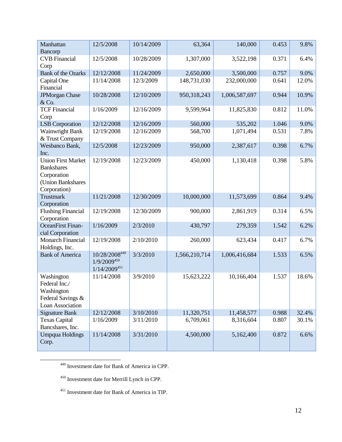| Manhattan<br>Bancorp                                                                               | 12/5/2008                                              | 10/14/2009 | 63,364        | 140,000       | 0.453 | 9.8%  |
|----------------------------------------------------------------------------------------------------|--------------------------------------------------------|------------|---------------|---------------|-------|-------|
| <b>CVB</b> Financial<br>Corp                                                                       | 12/5/2008                                              | 10/28/2009 | 1,307,000     | 3,522,198     | 0.371 | 6.4%  |
| <b>Bank of the Ozarks</b>                                                                          | 12/12/2008                                             | 11/24/2009 | 2,650,000     | 3,500,000     | 0.757 | 9.0%  |
| Capital One<br>Financial                                                                           | 11/14/2008                                             | 12/3/2009  | 148,731,030   | 232,000,000   | 0.641 | 12.0% |
| <b>JPMorgan Chase</b><br>& Co.                                                                     | 10/28/2008                                             | 12/10/2009 | 950,318,243   | 1,006,587,697 | 0.944 | 10.9% |
| <b>TCF Financial</b><br>Corp                                                                       | 1/16/2009                                              | 12/16/2009 | 9,599,964     | 11,825,830    | 0.812 | 11.0% |
| <b>LSB</b> Corporation                                                                             | 12/12/2008                                             | 12/16/2009 | 560,000       | 535,202       | 1.046 | 9.0%  |
| <b>Wainwright Bank</b><br>& Trust Company                                                          | 12/19/2008                                             | 12/16/2009 | 568,700       | 1,071,494     | 0.531 | 7.8%  |
| Wesbanco Bank,<br>Inc.                                                                             | 12/5/2008                                              | 12/23/2009 | 950,000       | 2,387,617     | 0.398 | 6.7%  |
| <b>Union First Market</b><br><b>Bankshares</b><br>Corporation<br>(Union Bankshares<br>Corporation) | 12/19/2008                                             | 12/23/2009 | 450,000       | 1,130,418     | 0.398 | 5.8%  |
| <b>Trustmark</b><br>Corporation                                                                    | 11/21/2008                                             | 12/30/2009 | 10,000,000    | 11,573,699    | 0.864 | 9.4%  |
| <b>Flushing Financial</b><br>Corporation                                                           | 12/19/2008                                             | 12/30/2009 | 900,000       | 2,861,919     | 0.314 | 6.5%  |
| <b>OceanFirst Finan-</b><br>cial Corporation                                                       | 1/16/2009                                              | 2/3/2010   | 430,797       | 279,359       | 1.542 | 6.2%  |
| <b>Monarch Financial</b><br>Holdings, Inc.                                                         | 12/19/2008                                             | 2/10/2010  | 260,000       | 623,434       | 0.417 | 6.7%  |
| <b>Bank of America</b>                                                                             | 10/28/2008449<br>$1/9/2009^{450}$<br>$1/14/2009^{451}$ | 3/3/2010   | 1,566,210,714 | 1,006,416,684 | 1.533 | 6.5%  |
| Washington<br>Federal Inc./<br>Washington<br>Federal Savings &<br><b>Loan Association</b>          | 11/14/2008                                             | 3/9/2010   | 15,623,222    | 10,166,404    | 1.537 | 18.6% |
| <b>Signature Bank</b>                                                                              | 12/12/2008                                             | 3/10/2010  | 11,320,751    | 11,458,577    | 0.988 | 32.4% |
| <b>Texas Capital</b><br>Bancshares, Inc.                                                           | 1/16/2009                                              | 3/11/2010  | 6,709,061     | 8,316,604     | 0.807 | 30.1% |
| <b>Umpqua Holdings</b><br>Corp.                                                                    | 11/14/2008                                             | 3/31/2010  | 4,500,000     | 5,162,400     | 0.872 | 6.6%  |

<sup>449</sup> Investment date for Bank of America in CPP.

<sup>450</sup> Investment date for Merrill Lynch in CPP.

 $\overline{\phantom{a}}$ 

<sup>451</sup> Investment date for Bank of America in TIP.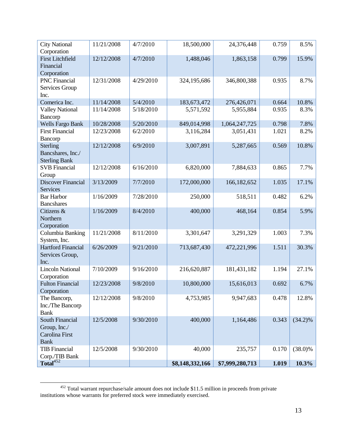| <b>City National</b><br>Corporation                              | 11/21/2008 | 4/7/2010  | 18,500,000      | 24,376,448      | 0.759 | 8.5%       |
|------------------------------------------------------------------|------------|-----------|-----------------|-----------------|-------|------------|
| <b>First Litchfield</b><br>Financial                             | 12/12/2008 | 4/7/2010  | 1,488,046       | 1,863,158       | 0.799 | 15.9%      |
| Corporation<br><b>PNC</b> Financial<br>Services Group<br>Inc.    | 12/31/2008 | 4/29/2010 | 324,195,686     | 346,800,388     | 0.935 | 8.7%       |
| Comerica Inc.                                                    | 11/14/2008 | 5/4/2010  | 183,673,472     | 276,426,071     | 0.664 | 10.8%      |
| <b>Valley National</b><br>Bancorp                                | 11/14/2008 | 5/18/2010 | 5,571,592       | 5,955,884       | 0.935 | 8.3%       |
| <b>Wells Fargo Bank</b>                                          | 10/28/2008 | 5/20/2010 | 849,014,998     | 1,064,247,725   | 0.798 | 7.8%       |
| <b>First Financial</b><br>Bancorp                                | 12/23/2008 | 6/2/2010  | 3,116,284       | 3,051,431       | 1.021 | 8.2%       |
| Sterling<br>Bancshares, Inc./<br><b>Sterling Bank</b>            | 12/12/2008 | 6/9/2010  | 3,007,891       | 5,287,665       | 0.569 | 10.8%      |
| <b>SVB</b> Financial<br>Group                                    | 12/12/2008 | 6/16/2010 | 6,820,000       | 7,884,633       | 0.865 | 7.7%       |
| <b>Discover Financial</b><br><b>Services</b>                     | 3/13/2009  | 7/7/2010  | 172,000,000     | 166,182,652     | 1.035 | 17.1%      |
| <b>Bar Harbor</b><br><b>Bancshares</b>                           | 1/16/2009  | 7/28/2010 | 250,000         | 518,511         | 0.482 | 6.2%       |
| Citizens &<br>Northern<br>Corporation                            | 1/16/2009  | 8/4/2010  | 400,000         | 468,164         | 0.854 | 5.9%       |
| Columbia Banking<br>System, Inc.                                 | 11/21/2008 | 8/11/2010 | 3,301,647       | 3,291,329       | 1.003 | 7.3%       |
| <b>Hartford Financial</b><br>Services Group,<br>Inc.             | 6/26/2009  | 9/21/2010 | 713,687,430     | 472,221,996     | 1.511 | 30.3%      |
| <b>Lincoln National</b><br>Corporation                           | 7/10/2009  | 9/16/2010 | 216,620,887     | 181,431,182     | 1.194 | 27.1%      |
| <b>Fulton Financial</b><br>Corporation                           | 12/23/2008 | 9/8/2010  | 10,800,000      | 15,616,013      | 0.692 | 6.7%       |
| The Bancorp,<br>Inc./The Bancorp<br><b>Bank</b>                  | 12/12/2008 | 9/8/2010  | 4,753,985       | 9,947,683       | 0.478 | 12.8%      |
| South Financial<br>Group, Inc./<br>Carolina First<br><b>Bank</b> | 12/5/2008  | 9/30/2010 | 400,000         | 1,164,486       | 0.343 | $(34.2)\%$ |
| <b>TIB Financial</b><br>Corp./TIB Bank                           | 12/5/2008  | 9/30/2010 | 40,000          | 235,757         | 0.170 | $(38.0)\%$ |
| Total <sup>452</sup>                                             |            |           | \$8,148,332,166 | \$7,999,280,713 | 1.019 | 10.3%      |

 $\overline{\phantom{a}}$  $452$  Total warrant repurchase/sale amount does not include \$11.5 million in proceeds from private institutions whose warrants for preferred stock were immediately exercised.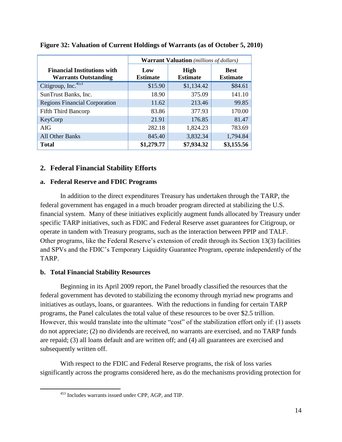|                                                                   | <b>Warrant Valuation</b> (millions of dollars) |                                |                                |  |  |  |
|-------------------------------------------------------------------|------------------------------------------------|--------------------------------|--------------------------------|--|--|--|
| <b>Financial Institutions with</b><br><b>Warrants Outstanding</b> | Low<br><b>Estimate</b>                         | <b>High</b><br><b>Estimate</b> | <b>Best</b><br><b>Estimate</b> |  |  |  |
| Citigroup, Inc. <sup>453</sup>                                    | \$15.90                                        | \$1,134.42                     | \$84.61                        |  |  |  |
| SunTrust Banks, Inc.                                              | 18.90                                          | 375.09                         | 141.10                         |  |  |  |
| <b>Regions Financial Corporation</b>                              | 11.62                                          | 213.46                         | 99.85                          |  |  |  |
| <b>Fifth Third Bancorp</b>                                        | 83.86                                          | 377.93                         | 170.00                         |  |  |  |
| KeyCorp                                                           | 21.91                                          | 176.85                         | 81.47                          |  |  |  |
| AIG                                                               | 282.18                                         | 1,824.23                       | 783.69                         |  |  |  |
| All Other Banks                                                   | 845.40                                         | 3,832.34                       | 1,794.84                       |  |  |  |
| <b>Total</b>                                                      | \$1,279.77                                     | \$7,934.32                     | \$3,155.56                     |  |  |  |

**Figure 32: Valuation of Current Holdings of Warrants (as of October 5, 2010)**

# **2. Federal Financial Stability Efforts**

### **a. Federal Reserve and FDIC Programs**

In addition to the direct expenditures Treasury has undertaken through the TARP, the federal government has engaged in a much broader program directed at stabilizing the U.S. financial system. Many of these initiatives explicitly augment funds allocated by Treasury under specific TARP initiatives, such as FDIC and Federal Reserve asset guarantees for Citigroup, or operate in tandem with Treasury programs, such as the interaction between PPIP and TALF. Other programs, like the Federal Reserve's extension of credit through its Section 13(3) facilities and SPVs and the FDIC's Temporary Liquidity Guarantee Program, operate independently of the TARP.

### **b. Total Financial Stability Resources**

 $\overline{\phantom{a}}$ 

Beginning in its April 2009 report, the Panel broadly classified the resources that the federal government has devoted to stabilizing the economy through myriad new programs and initiatives as outlays, loans, or guarantees. With the reductions in funding for certain TARP programs, the Panel calculates the total value of these resources to be over \$2.5 trillion. However, this would translate into the ultimate "cost" of the stabilization effort only if: (1) assets do not appreciate; (2) no dividends are received, no warrants are exercised, and no TARP funds are repaid; (3) all loans default and are written off; and (4) all guarantees are exercised and subsequently written off.

With respect to the FDIC and Federal Reserve programs, the risk of loss varies significantly across the programs considered here, as do the mechanisms providing protection for

<sup>453</sup> Includes warrants issued under CPP, AGP, and TIP.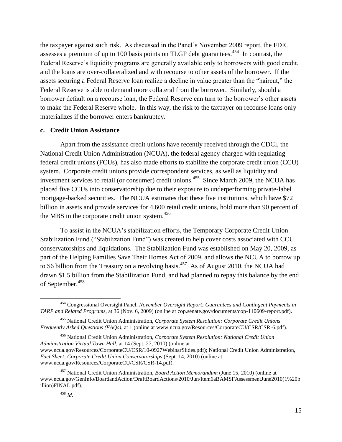the taxpayer against such risk. As discussed in the Panel's November 2009 report, the FDIC assesses a premium of up to 100 basis points on TLGP debt guarantees.<sup>454</sup> In contrast, the Federal Reserve's liquidity programs are generally available only to borrowers with good credit, and the loans are over-collateralized and with recourse to other assets of the borrower. If the assets securing a Federal Reserve loan realize a decline in value greater than the "haircut," the Federal Reserve is able to demand more collateral from the borrower. Similarly, should a borrower default on a recourse loan, the Federal Reserve can turn to the borrower's other assets to make the Federal Reserve whole. In this way, the risk to the taxpayer on recourse loans only materializes if the borrower enters bankruptcy.

#### **c. Credit Union Assistance**

Apart from the assistance credit unions have recently received through the CDCI, the National Credit Union Administration (NCUA), the federal agency charged with regulating federal credit unions (FCUs), has also made efforts to stabilize the corporate credit union (CCU) system. Corporate credit unions provide correspondent services, as well as liquidity and investment services to retail (or consumer) credit unions.<sup>455</sup> Since March 2009, the NCUA has placed five CCUs into conservatorship due to their exposure to underperforming private-label mortgage-backed securities. The NCUA estimates that these five institutions, which have \$72 billion in assets and provide services for 4,600 retail credit unions, hold more than 90 percent of the MBS in the corporate credit union system.<sup>456</sup>

To assist in the NCUA's stabilization efforts, the Temporary Corporate Credit Union Stabilization Fund ("Stabilization Fund") was created to help cover costs associated with CCU conservatorships and liquidations. The Stabilization Fund was established on May 20, 2009, as part of the Helping Families Save Their Homes Act of 2009, and allows the NCUA to borrow up to \$6 billion from the Treasury on a revolving basis.<sup>457</sup> As of August 2010, the NCUA had drawn \$1.5 billion from the Stabilization Fund, and had planned to repay this balance by the end of September. 458

<sup>456</sup> National Credit Union Administration, *Corporate System Resolution: National Credit Union Administration Virtual Town Hall*, at 14 (Sept. 27, 2010) (online at www.ncua.gov/Resources/CorporateCU/CSR/10-0927WebinarSlides.pdf); National Credit Union Administration, *Fact Sheet: Corporate Credit Union Conservatorships* (Sept. 14, 2010) (online at www.ncua.gov/Resources/CorporateCU/CSR/CSR-14.pdf).

 $\overline{\phantom{a}}$ 

<sup>454</sup> Congressional Oversight Panel, *November Oversight Report: Guarantees and Contingent Payments in TARP and Related Programs*, at 36 (Nov. 6, 2009) (online at cop.senate.gov/documents/cop-110609-report.pdf).

<sup>455</sup> National Credit Union Administration, *Corporate System Resolution: Corporate Credit Unions Frequently Asked Questions (FAQs)*, at 1 (online at www.ncua.gov/Resources/CorporateCU/CSR/CSR-6.pdf).

<sup>457</sup> National Credit Union Administration, *Board Action Memorandum* (June 15, 2010) (online at www.ncua.gov/GenInfo/BoardandAction/DraftBoardActions/2010/Jun/Item6aBAMSFAssessmentJune2010(1%20b illion)FINAL.pdf).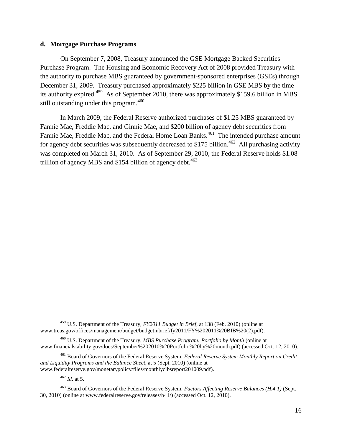#### **d. Mortgage Purchase Programs**

On September 7, 2008, Treasury announced the GSE Mortgage Backed Securities Purchase Program. The Housing and Economic Recovery Act of 2008 provided Treasury with the authority to purchase MBS guaranteed by government-sponsored enterprises (GSEs) through December 31, 2009. Treasury purchased approximately \$225 billion in GSE MBS by the time its authority expired.<sup>459</sup> As of September 2010, there was approximately \$159.6 billion in MBS still outstanding under this program.  $460$ 

In March 2009, the Federal Reserve authorized purchases of \$1.25 MBS guaranteed by Fannie Mae, Freddie Mac, and Ginnie Mae, and \$200 billion of agency debt securities from Fannie Mae, Freddie Mac, and the Federal Home Loan Banks.<sup>461</sup> The intended purchase amount for agency debt securities was subsequently decreased to \$175 billion.<sup>462</sup> All purchasing activity was completed on March 31, 2010. As of September 29, 2010, the Federal Reserve holds \$1.08 trillion of agency MBS and \$154 billion of agency debt. $463$ 

<sup>462</sup> *Id*. at 5.

 $\overline{\phantom{a}}$ 

<sup>459</sup> U.S. Department of the Treasury, *FY2011 Budget in Brief*, at 138 (Feb. 2010) (online at www.treas.gov/offices/management/budget/budgetinbrief/fy2011/FY%202011%20BIB%20(2).pdf).

<sup>460</sup> U.S. Department of the Treasury, *MBS Purchase Program: Portfolio by Month* (online at www.financialstability.gov/docs/September%202010%20Portfolio%20by%20month.pdf) (accessed Oct. 12, 2010).

<sup>461</sup> Board of Governors of the Federal Reserve System, *Federal Reserve System Monthly Report on Credit and Liquidity Programs and the Balance Sheet*, at 5 (Sept. 2010) (online at www.federalreserve.gov/monetarypolicy/files/monthlyclbsreport201009.pdf).

<sup>463</sup> Board of Governors of the Federal Reserve System, *Factors Affecting Reserve Balances (H.4.1)* (Sept. 30, 2010) (online at www.federalreserve.gov/releases/h41/) (accessed Oct. 12, 2010).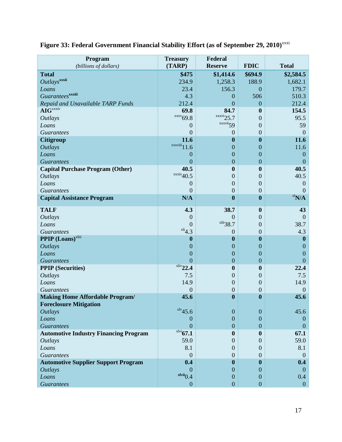| Program<br>(billions of dollars)             | <b>Treasury</b><br>(TARP)          | Federal<br><b>Reserve</b> | <b>FDIC</b>      | <b>Total</b>     |
|----------------------------------------------|------------------------------------|---------------------------|------------------|------------------|
| <b>Total</b>                                 | \$475                              | \$1,414.6                 | \$694.9          | \$2,584.5        |
| Outlays <sup>xxxii</sup>                     | 234.9                              | 1,258.3                   | 188.9            | 1,682.1          |
| Loans                                        | 23.4                               | 156.3                     | $\boldsymbol{0}$ | 179.7            |
| Guarantees <sup>xxxiii</sup>                 | 4.3                                | $\theta$                  | 506              | 510.3            |
| Repaid and Unavailable TARP Funds            | 212.4                              | $\overline{0}$            | $\overline{0}$   | 212.4            |
| <b>AIG</b> xxxiv                             | 69.8                               | 84.7                      | $\bf{0}$         | 154.5            |
| <b>Outlays</b>                               | $\frac{xx}{x}69.8$                 | $\frac{xxxi}{25.7}$       | $\overline{0}$   | 95.5             |
| Loans                                        | $\theta$                           | xxxvii <sub>59</sub>      | $\overline{0}$   | 59               |
| <b>Guarantees</b>                            | $\mathbf{0}$                       | 0                         | 0                | $\overline{0}$   |
| <b>Citigroup</b>                             | 11.6                               | $\boldsymbol{0}$          | $\boldsymbol{0}$ | 11.6             |
| <b>Outlays</b>                               | $\frac{xxviii}{11.6}$              | $\mathbf{0}$              | $\overline{0}$   | 11.6             |
| Loans                                        | $\boldsymbol{0}$                   | $\mathbf{0}$              | $\overline{0}$   | $\boldsymbol{0}$ |
| <b>Guarantees</b>                            | $\overline{0}$                     | $\boldsymbol{0}$          | $\overline{0}$   | $\overline{0}$   |
| <b>Capital Purchase Program (Other)</b>      | 40.5                               | $\boldsymbol{0}$          | $\boldsymbol{0}$ | 40.5             |
| <b>Outlays</b>                               | $\frac{\text{xxxi}}{40.5}$         | $\boldsymbol{0}$          | $\overline{0}$   | 40.5             |
| Loans                                        | $\overline{0}$                     | $\boldsymbol{0}$          | 0                | $\overline{0}$   |
| <b>Guarantees</b>                            | $\overline{0}$                     | $\boldsymbol{0}$          | $\overline{0}$   | $\theta$         |
| <b>Capital Assistance Program</b>            | N/A                                | $\boldsymbol{0}$          | $\bf{0}$         | $x \sim N/A$     |
| <b>TALF</b>                                  | 4.3                                | 38.7                      | $\boldsymbol{0}$ | 43               |
| <b>Outlays</b>                               | $\theta$                           | $\overline{0}$            | $\overline{0}$   | $\overline{0}$   |
| Loans                                        | $\mathbf{0}$                       | $x^{\text{liig}}$ 38.7    | $\overline{0}$   | 38.7             |
| <b>Guarantees</b>                            | $x^{1i}4.3$                        | $\overline{0}$            | $\overline{0}$   | 4.3              |
| <b>PPIP</b> (Loans) <sup>xliii</sup>         | $\boldsymbol{0}$                   | $\boldsymbol{0}$          | $\bf{0}$         | $\mathbf{0}$     |
| <b>Outlays</b>                               | $\boldsymbol{0}$                   | $\boldsymbol{0}$          | $\overline{0}$   | $\theta$         |
| Loans                                        | $\boldsymbol{0}$                   | $\boldsymbol{0}$          | $\overline{0}$   | $\overline{0}$   |
| <b>Guarantees</b>                            | $\overline{0}$                     | $\boldsymbol{0}$          | $\overline{0}$   | $\overline{0}$   |
| <b>PPIP</b> (Securities)                     | $x$ liv <sub>22.4</sub>            | $\boldsymbol{0}$          | $\bf{0}$         | 22.4             |
| <b>Outlays</b>                               | 7.5                                | $\boldsymbol{0}$          | $\overline{0}$   | 7.5              |
| Loans                                        | 14.9                               | $\boldsymbol{0}$          | 0                | 14.9             |
| <b>Guarantees</b>                            | $\theta$                           | $\boldsymbol{0}$          | $\boldsymbol{0}$ | $\mathbf{0}$     |
| <b>Making Home Affordable Program/</b>       | 45.6                               | $\boldsymbol{0}$          | $\bf{0}$         | 45.6             |
| <b>Foreclosure Mitigation</b>                |                                    |                           |                  |                  |
| <i><b>Outlays</b></i>                        | $x \rightarrow x \rightarrow 45.6$ | $\boldsymbol{0}$          | $\overline{0}$   | 45.6             |
| Loans                                        | $\boldsymbol{0}$                   | $\overline{0}$            | $\theta$         | $\theta$         |
| <b>Guarantees</b>                            | $\overline{0}$                     | $\overline{0}$            | $\overline{0}$   | $\theta$         |
| <b>Automotive Industry Financing Program</b> | $x^{\text{1vi}}$ 67.1              | $\boldsymbol{0}$          | $\mathbf{0}$     | 67.1             |
| <b>Outlays</b>                               | 59.0                               | $\theta$                  | $\Omega$         | 59.0             |
| Loans                                        | 8.1                                | $\theta$                  | $\overline{0}$   | 8.1              |
| <b>Guarantees</b>                            | $\overline{0}$                     | $\boldsymbol{0}$          | $\mathbf{0}$     | $\overline{0}$   |
| <b>Automotive Supplier Support Program</b>   | 0.4                                | $\boldsymbol{0}$          | $\bf{0}$         | 0.4              |
| <b>Outlays</b>                               | $\Omega$                           | $\overline{0}$            | $\Omega$         | $\theta$         |
| Loans                                        | $x^{\text{lvii}}$ 0.4              | $\boldsymbol{0}$          | $\Omega$         | 0.4              |
| <b>Guarantees</b>                            | $\boldsymbol{0}$                   | $\boldsymbol{0}$          | $\boldsymbol{0}$ | $\mathbf{0}$     |

## **Figure 33: Federal Government Financial Stability Effort (as of September 29, 2010)** xxxi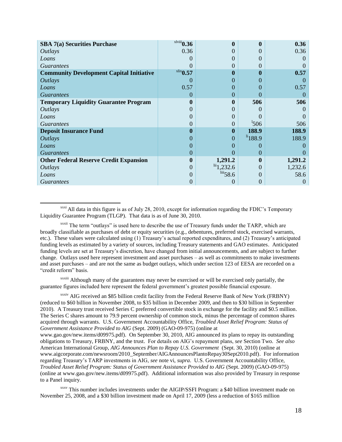| <b>SBA 7(a) Securities Purchase</b>             | $x$ lviii $0.36$ |                              |                    | 0.36     |
|-------------------------------------------------|------------------|------------------------------|--------------------|----------|
| <i>Outlays</i>                                  | 0.36             | 0                            |                    | 0.36     |
| Loans                                           |                  | 0                            |                    |          |
| <i>Guarantees</i>                               |                  | 0                            | $\mathbf{0}$       |          |
| <b>Community Development Capital Initiative</b> | $x$ lix $0.57$   | 0                            | 0                  | 0.57     |
| <i><b>Outlays</b></i>                           | $\left( \right)$ | 0                            |                    |          |
| Loans                                           | 0.57             | 0                            | $\mathbf{0}$       | 0.57     |
| <i>Guarantees</i>                               | 0                | $\theta$                     | $\mathbf{0}$       |          |
| <b>Temporary Liquidity Guarantee Program</b>    | 0                | 0                            | 506                | 506      |
| <i><b>Outlays</b></i>                           | 0                | 0                            |                    |          |
| Loans                                           | 0                | 0                            |                    |          |
| <i>Guarantees</i>                               | 0                | 0                            | 1506               | 506      |
| <b>Deposit Insurance Fund</b>                   | 0                | 0                            | 188.9              | 188.9    |
| <i>Outlays</i>                                  | 0                | 0                            | $\frac{11}{188.9}$ | 188.9    |
| Loans                                           | 0                | 0                            | $\mathbf{0}$       |          |
| <b>Guarantees</b>                               | 0                | 0                            | $\Omega$           |          |
| <b>Other Federal Reserve Credit Expansion</b>   | $\bf{0}$         | 1,291.2                      |                    | 1,291.2  |
| <i>Outlays</i>                                  | $\overline{0}$   | $\frac{\text{iii}}{2,232.6}$ | $\Omega$           | 1,232.6  |
| Loans                                           | 0                | $\frac{\text{liii}}{58.6}$   | $\Omega$           | 58.6     |
| <i>Guarantees</i>                               | 0                | 0                            | 0                  | $\Omega$ |

 $\overline{\phantom{a}}$ <sup>xxxi</sup> All data in this figure is as of July 28, 2010, except for information regarding the FDIC's Temporary Liquidity Guarantee Program (TLGP). That data is as of June 30, 2010.

xxxii The term "outlays" is used here to describe the use of Treasury funds under the TARP, which are broadly classifiable as purchases of debt or equity securities (e.g., debentures, preferred stock, exercised warrants, etc.). These values were calculated using (1) Treasury's actual reported expenditures, and (2) Treasury's anticipated funding levels as estimated by a variety of sources, including Treasury statements and GAO estimates. Anticipated funding levels are set at Treasury's discretion, have changed from initial announcements, and are subject to further change. Outlays used here represent investment and asset purchases – as well as commitments to make investments and asset purchases – and are not the same as budget outlays, which under section 123 of EESA are recorded on a "credit reform" basis.

xxxiii Although many of the guarantees may never be exercised or will be exercised only partially, the guarantee figures included here represent the federal government's greatest possible financial exposure.

xxxiv AIG received an \$85 billion credit facility from the Federal Reserve Bank of New York (FRBNY) (reduced to \$60 billion in November 2008, to \$35 billion in December 2009, and then to \$30 billion in September 2010). A Treasury trust received Series C preferred convertible stock in exchange for the facility and \$0.5 million. The Series C shares amount to 79.9 percent ownership of common stock, minus the percentage of common shares acquired through warrants. U.S. Government Accountability Office, *Troubled Asset Relief Program: Status of Government Assistance Provided to AIG* (Sept. 2009) (GAO-09-975) (online at www.gao.gov/new.items/d09975.pdf). On September 30, 2010, AIG announced its plans to repay its outstanding obligations to Treasury, FRBNY, and the trust. For details on AIG's repayment plans, *see* Section Two. *See also* American International Group, *AIG Announces Plan to Repay U.S. Government* (Sept. 30, 2010) (online at www.aigcorporate.com/newsroom/2010\_September/AIGAnnouncesPlantoRepay30Sept2010.pdf). For information regarding Treasury's TARP investments in AIG, *see* note [vi,](#page-3-0) *supra*. U.S. Government Accountability Office, *Troubled Asset Relief Program: Status of Government Assistance Provided to AIG* (Sept. 2009) (GAO-09-975) (online at [www.gao.gov/new.items/d09975.pdf\)](http://www.gao.gov/new.items/d09975.pdf). Additional information was also provided by Treasury in response to a Panel inquiry.

xxxv This number includes investments under the AIGIP/SSFI Program: a \$40 billion investment made on November 25, 2008, and a \$30 billion investment made on April 17, 2009 (less a reduction of \$165 million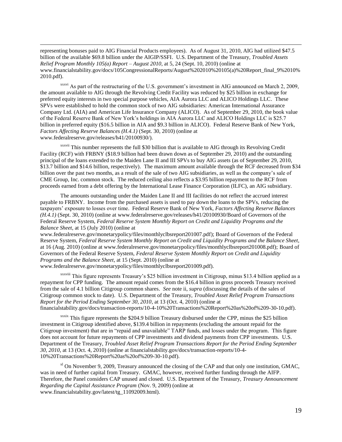representing bonuses paid to AIG Financial Products employees). As of August 31, 2010, AIG had utilized \$47.5 billion of the available \$69.8 billion under the AIGIP/SSFI. U.S. Department of the Treasury, *Troubled Assets Relief Program Monthly 105(a) Report – August 2010*, at 5, 24 (Sept. 10, 2010) (online at www.financialstability.gov/docs/105CongressionalReports/August%202010%20105(a)%20Report\_final\_9%2010% 2010.pdf).

 $\overline{\phantom{a}}$ 

xxxvi As part of the restructuring of the U.S. government's investment in AIG announced on March 2, 2009, the amount available to AIG through the Revolving Credit Facility was reduced by \$25 billion in exchange for preferred equity interests in two special purpose vehicles, AIA Aurora LLC and ALICO Holdings LLC. These SPVs were established to hold the common stock of two AIG subsidiaries: American International Assurance Company Ltd. (AIA) and American Life Insurance Company (ALICO). As of September 29, 2010, the book value of the Federal Reserve Bank of New York's holdings in AIA Aurora LLC and ALICO Holdings LLC is \$25.7 billion in preferred equity (\$16.5 billion in AIA and \$9.3 billion in ALICO). Federal Reserve Bank of New York, *Factors Affecting Reserve Balances (H.4.1)* (Sept. 30, 2010) (online at www.federalreserve.gov/releases/h41/20100930/).

xxxvii This number represents the full \$30 billion that is available to AIG through its Revolving Credit Facility (RCF) with FRBNY (\$18.9 billion had been drawn down as of September 29, 2010) and the outstanding principal of the loans extended to the Maiden Lane II and III SPVs to buy AIG assets (as of September 29, 2010, \$13.7 billion and \$14.6 billion, respectively). The maximum amount available through the RCF decreased from \$34 billion over the past two months, as a result of the sale of two AIG subsidiaries, as well as the company's sale of CME Group, Inc. common stock. The reduced ceiling also reflects a \$3.95 billion repayment to the RCF from proceeds earned from a debt offering by the International Lease Finance Corporation (ILFC), an AIG subsidiary.

The amounts outstanding under the Maiden Lane II and III facilities do not reflect the accrued interest payable to FRBNY. Income from the purchased assets is used to pay down the loans to the SPVs, reducing the taxpayers' exposure to losses over time. Federal Reserve Bank of New York, *Factors Affecting Reserve Balances (H.4.1)* (Sept. 30, 2010) (online at www.federalreserve.gov/releases/h41/20100930/Board of Governors of the Federal Reserve System, *Federal Reserve System Monthly Report on Credit and Liquidity Programs and the Balance Sheet*, at 15 (July 2010) (online at

www.federalreserve.gov/monetarypolicy/files/monthlyclbsreport201007.pdf); Board of Governors of the Federal Reserve System, *Federal Reserve System Monthly Report on Credit and Liquidity Programs and the Balance Sheet*, at 16 (Aug. 2010) (online at www.federalreserve.gov/monetarypolicy/files/monthlyclbsreport201008.pdf); Board of Governors of the Federal Reserve System, *Federal Reserve System Monthly Report on Credit and Liquidity Programs and the Balance Sheet*, at 15 (Sept. 2010) (online at

www.federalreserve.gov/monetarypolicy/files/monthlyclbsreport201009.pdf).

xxxviii This figure represents Treasury's \$25 billion investment in Citigroup, minus \$13.4 billion applied as a repayment for CPP funding. The amount repaid comes from the \$16.4 billion in gross proceeds Treasury received from the sale of 4.1 billion Citigroup common shares. *See* note [ii,](#page-3-1) *supra* (discussing the details of the sales of Citigroup common stock to date). U.S. Department of the Treasury, *Troubled Asset Relief Program Transactions Report for the Period Ending September 30, 2010*, at 13 (Oct. 4, 2010) (online at financialstability.gov/docs/transaction-reports/10-4-10%20Transactions%20Report%20as%20of%209-30-10.pdf).

xxxix This figure represents the \$204.9 billion Treasury disbursed under the CPP, minus the \$25 billion investment in Citigroup identified above, \$139.4 billion in repayments (excluding the amount repaid for the Citigroup investment) that are in "repaid and unavailable" TARP funds, and losses under the program. This figure does not account for future repayments of CPP investments and dividend payments from CPP investments. U.S. Department of the Treasury, *Troubled Asset Relief Program Transactions Report for the Period Ending September 30, 2010*, at 13 (Oct. 4, 2010) (online at financialstability.gov/docs/transaction-reports/10-4- 10%20Transactions%20Report%20as%20of%209-30-10.pdf).

 $x<sup>1</sup>$  On November 9, 2009, Treasury announced the closing of the CAP and that only one institution, GMAC, was in need of further capital from Treasury. GMAC, however, received further funding through the AIFP. Therefore, the Panel considers CAP unused and closed. U.S. Department of the Treasury, *Treasury Announcement Regarding the Capital Assistance Program* (Nov. 9, 2009) (online at www.financialstability.gov/latest/tg\_11092009.html).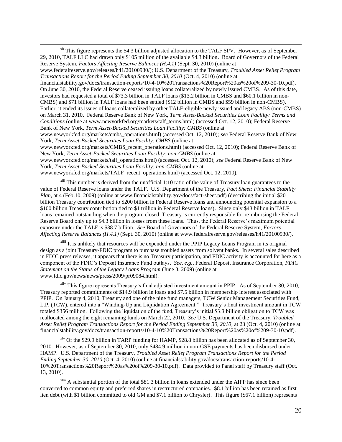$x<sup>li</sup>$  This figure represents the \$4.3 billion adjusted allocation to the TALF SPV. However, as of September 29, 2010, TALF LLC had drawn only \$105 million of the available \$4.3 billion. Board of Governors of the Federal Reserve System, *Factors Affecting Reserve Balances (H.4.1)* (Sept. 30, 2010) (online at www.federalreserve.gov/releases/h41/20100930/); U.S. Department of the Treasury, *Troubled Asset Relief Program* 

*Transactions Report for the Period Ending September 30, 2010* (Oct. 4, 2010) (online at financialstability.gov/docs/transaction-reports/10-4-10%20Transactions%20Report%20as%20of%209-30-10.pdf). On June 30, 2010, the Federal Reserve ceased issuing loans collateralized by newly issued CMBS. As of this date, investors had requested a total of \$73.3 billion in TALF loans (\$13.2 billion in CMBS and \$60.1 billion in non-CMBS) and \$71 billion in TALF loans had been settled (\$12 billion in CMBS and \$59 billion in non-CMBS). Earlier, it ended its issues of loans collateralized by other TALF-eligible newly issued and legacy ABS (non-CMBS) on March 31, 2010. Federal Reserve Bank of New York, *Term Asset-Backed Securities Loan Facility: Terms and Conditions* (online at www.newyorkfed.org/markets/talf\_terms.html) (accessed Oct. 12, 2010); Federal Reserve Bank of New York, *Term Asset-Backed Securities Loan Facility: CMBS* (online at

www.newyorkfed.org/markets/cmbs\_operations.html) (accessed Oct. 12, 2010); *see* Federal Reserve Bank of New York, *Term Asset-Backed Securities Loan Facility: CMBS* (online at

www.newyorkfed.org/markets/CMBS\_recent\_operations.html) (accessed Oct. 12, 2010); Federal Reserve Bank of New York, *Term Asset-Backed Securities Loan Facility: non-CMBS* (online at

www.newyorkfed.org/markets/talf\_operations.html) (accessed Oct. 12, 2010); *see* Federal Reserve Bank of New York, *Term Asset-Backed Securities Loan Facility: non-CMBS* (online at

www.newyorkfed.org/markets/TALF\_recent\_operations.html) (accessed Oct. 12, 2010).

 $\overline{\phantom{a}}$ 

<sup>xlii</sup> This number is derived from the unofficial 1:10 ratio of the value of Treasury loan guarantees to the value of Federal Reserve loans under the TALF. U.S. Department of the Treasury, *Fact Sheet: Financial Stability Plan*, at 4 (Feb.10, 2009) (online at www.financialstability.gov/docs/fact-sheet.pdf) (describing the initial \$20 billion Treasury contribution tied to \$200 billion in Federal Reserve loans and announcing potential expansion to a \$100 billion Treasury contribution tied to \$1 trillion in Federal Reserve loans). Since only \$43 billion in TALF loans remained outstanding when the program closed, Treasury is currently responsible for reimbursing the Federal Reserve Board only up to \$4.3 billion in losses from these loans. Thus, the Federal Reserve's maximum potential exposure under the TALF is \$38.7 billion. *See* Board of Governors of the Federal Reserve System, *Factors Affecting Reserve Balances (H.4.1)* (Sept. 30, 2010) (online at www.federalreserve.gov/releases/h41/20100930/).

<sup>xliii</sup> It is unlikely that resources will be expended under the PPIP Legacy Loans Program in its original design as a joint Treasury-FDIC program to purchase troubled assets from solvent banks. In several sales described in FDIC press releases, it appears that there is no Treasury participation, and FDIC activity is accounted for here as a component of the FDIC's Deposit Insurance Fund outlays. *See, e.g.*, Federal Deposit Insurance Corporation, *FDIC Statement on the Status of the Legacy Loans Program* (June 3, 2009) (online at www.fdic.gov/news/news/press/2009/pr09084.html).

<sup>xliv</sup> This figure represents Treasury's final adjusted investment amount in PPIP. As of September 30, 2010, Treasury reported commitments of \$14.9 billion in loans and \$7.5 billion in membership interest associated with PPIP. On January 4, 2010, Treasury and one of the nine fund managers, TCW Senior Management Securities Fund, L.P. (TCW), entered into a "Winding-Up and Liquidation Agreement." Treasury's final investment amount in TCW totaled \$356 million. Following the liquidation of the fund, Treasury's initial \$3.3 billion obligation to TCW was reallocated among the eight remaining funds on March 22, 2010. *See* U.S. Department of the Treasury, *Troubled Asset Relief Program Transactions Report for the Period Ending September 30, 2010*, at 23 (Oct. 4, 2010) (online at financialstability.gov/docs/transaction-reports/10-4-10%20Transactions%20Report%20as%20of%209-30-10.pdf).

xlv Of the \$29.9 billion in TARP funding for HAMP, \$28.8 billion has been allocated as of September 30, 2010. However, as of September 30, 2010, only \$484.9 million in non-GSE payments has been disbursed under HAMP. U.S. Department of the Treasury, *Troubled Asset Relief Program Transactions Report for the Period Ending September 30, 2010* (Oct. 4, 2010) (online at financialstability.gov/docs/transaction-reports/10-4- 10%20Transactions%20Report%20as%20of%209-30-10.pdf). Data provided to Panel staff by Treasury staff (Oct. 13, 2010).

 $x$ lvi A substantial portion of the total \$81.3 billion in loans extended under the AIFP has since been converted to common equity and preferred shares in restructured companies. \$8.1 billion has been retained as first lien debt (with \$1 billion committed to old GM and \$7.1 billion to Chrysler). This figure (\$67.1 billion) represents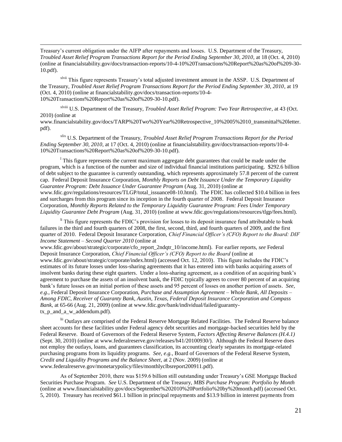Treasury's current obligation under the AIFP after repayments and losses. U.S. Department of the Treasury, *Troubled Asset Relief Program Transactions Report for the Period Ending September 30, 2010*, at 18 (Oct. 4, 2010) (online at financialstability.gov/docs/transaction-reports/10-4-10%20Transactions%20Report%20as%20of%209-30- 10.pdf).

 $\overline{\phantom{a}}$ 

pdf).

xlvii This figure represents Treasury's total adjusted investment amount in the ASSP. U.S. Department of the Treasury, *Troubled Asset Relief Program Transactions Report for the Period Ending September 30, 2010*, at 19 (Oct. 4, 2010) (online at financialstability.gov/docs/transaction-reports/10-4- 10%20Transactions%20Report%20as%20of%209-30-10.pdf).

xlviii U.S. Department of the Treasury, *Troubled Asset Relief Program: Two Year Retrospective*, at 43 (Oct. 2010) (online at www.financialstability.gov/docs/TARP%20Two%20Year%20Retrospective\_10%2005%2010\_transmittal%20letter.

xlix U.S. Department of the Treasury, *Troubled Asset Relief Program Transactions Report for the Period Ending September 30, 2010*, at 17 (Oct. 4, 2010) (online at financialstability.gov/docs/transaction-reports/10-4- 10%20Transactions%20Report%20as%20of%209-30-10.pdf).

<sup>1</sup> This figure represents the current maximum aggregate debt guarantees that could be made under the program, which is a function of the number and size of individual financial institutions participating. \$292.6 billion of debt subject to the guarantee is currently outstanding, which represents approximately 57.8 percent of the current cap. Federal Deposit Insurance Corporation, *Monthly Reports on Debt Issuance Under the Temporary Liquidity Guarantee Program: Debt Issuance Under Guarantee Program* (Aug. 31, 2010) (online at www.fdic.gov/regulations/resources/TLGP/total\_issuance08-10.html). The FDIC has collected \$10.4 billion in fees and surcharges from this program since its inception in the fourth quarter of 2008. Federal Deposit Insurance Corporation, *Monthly Reports Related to the Temporary Liquidity Guarantee Program: Fees Under Temporary Liquidity Guarantee Debt Program* (Aug. 31, 2010) (online at www.fdic.gov/regulations/resources/tlgp/fees.html).

 $\mu$ <sup>Ii</sup> This figure represents the FDIC's provision for losses to its deposit insurance fund attributable to bank failures in the third and fourth quarters of 2008, the first, second, third, and fourth quarters of 2009, and the first quarter of 2010. Federal Deposit Insurance Corporation, *Chief Financial Officer's (CFO) Report to the Board: DIF Income Statement – Second Quarter 2010* (online at

www.fdic.gov/about/strategic/corporate/cfo\_report\_2ndqtr\_10/income.html). For earlier reports, *see* Federal Deposit Insurance Corporation, *Chief Financial Officer's (CFO) Report to the Board* (online at www.fdic.gov/about/strategic/corporate/index.html) (accessed Oct. 12, 2010). This figure includes the FDIC's estimates of its future losses under loss-sharing agreements that it has entered into with banks acquiring assets of insolvent banks during these eight quarters. Under a loss-sharing agreement, as a condition of an acquiring bank's agreement to purchase the assets of an insolvent bank, the FDIC typically agrees to cover 80 percent of an acquiring bank's future losses on an initial portion of these assets and 95 percent of losses on another portion of assets. *See, e.g.*, Federal Deposit Insurance Corporation, *Purchase and Assumption Agreement – Whole Bank, All Deposits – Among FDIC, Receiver of Guaranty Bank, Austin, Texas, Federal Deposit Insurance Corporation and Compass Bank,* at 65-66 (Aug. 21, 2009) (online at www.fdic.gov/bank/individual/failed/guarantytx\_p\_and\_a\_w\_addendum.pdf).

lii Outlays are comprised of the Federal Reserve Mortgage Related Facilities. The Federal Reserve balance sheet accounts for these facilities under Federal agency debt securities and mortgage-backed securities held by the Federal Reserve. Board of Governors of the Federal Reserve System, *Factors Affecting Reserve Balances (H.4.1)* (Sept. 30, 2010) (online at www.federalreserve.gov/releases/h41/20100930/). Although the Federal Reserve does not employ the outlays, loans, and guarantees classification, its accounting clearly separates its mortgage-related purchasing programs from its liquidity programs. *See, e.g.*, Board of Governors of the Federal Reserve System, *Credit and Liquidity Programs and the Balance Sheet*, at 2 (Nov. 2009) (online at www.federalreserve.gov/monetarypolicy/files/monthlyclbsreport200911.pdf).

As of September 2010, there was \$159.6 billion still outstanding under Treasury's GSE Mortgage Backed Securities Purchase Program. *See* U.S. Department of the Treasury, *MBS Purchase Program: Portfolio by Month* (online at www.financialstability.gov/docs/September%202010%20Portfolio%20by%20month.pdf) (accessed Oct. 5, 2010). Treasury has received \$61.1 billion in principal repayments and \$13.9 billion in interest payments from